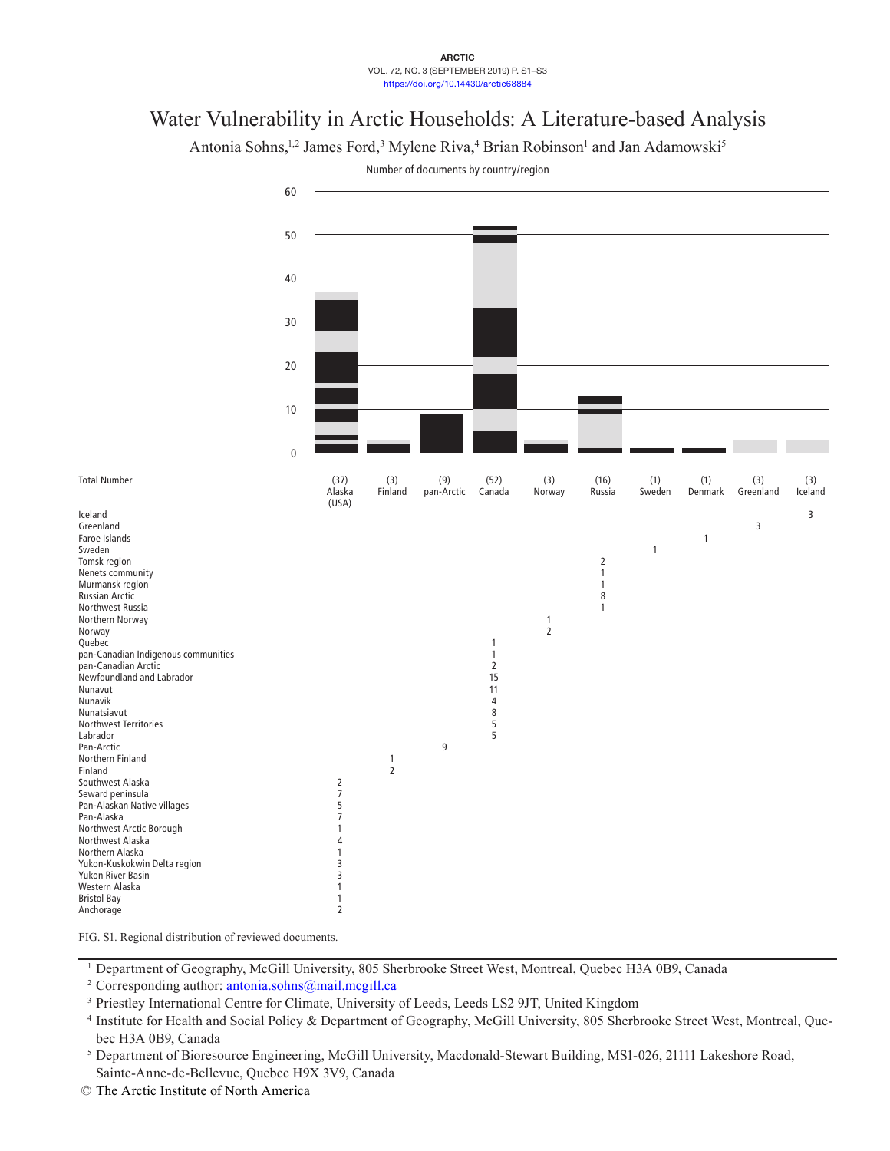## **ARCTIC** VOL. 72, NO. 3 (SEPTEMBER 2019) P. S1–S3 https://doi.org/10.14430/arctic68884

## Water Vulnerability in Arctic Households: A Literature-based Analysis

Antonia Sohns,<sup>1,2</sup> James Ford,<sup>3</sup> Mylene Riva,<sup>4</sup> Brian Robinson<sup>1</sup> and Jan Adamowski<sup>5</sup>



Number of documents by country/region

FIG. S1. Regional distribution of reviewed documents.

<sup>1</sup> Department of Geography, McGill University, 805 Sherbrooke Street West, Montreal, Quebec H3A 0B9, Canada

<sup>2</sup> Corresponding author:  $\frac{\text{antonia}}{\text{ab}}$ .sohns $\frac{\text{a}}{\text{b}}$  mail.mcgill.ca

<sup>3</sup> Priestley International Centre for Climate, University of Leeds, Leeds LS2 9JT, United Kingdom

© The Arctic Institute of North America

<sup>4</sup> Institute for Health and Social Policy & Department of Geography, McGill University, 805 Sherbrooke Street West, Montreal, Quebec H3A 0B9, Canada

<sup>5</sup> Department of Bioresource Engineering, McGill University, Macdonald-Stewart Building, MS1-026, 21111 Lakeshore Road, Sainte-Anne-de-Bellevue, Quebec H9X 3V9, Canada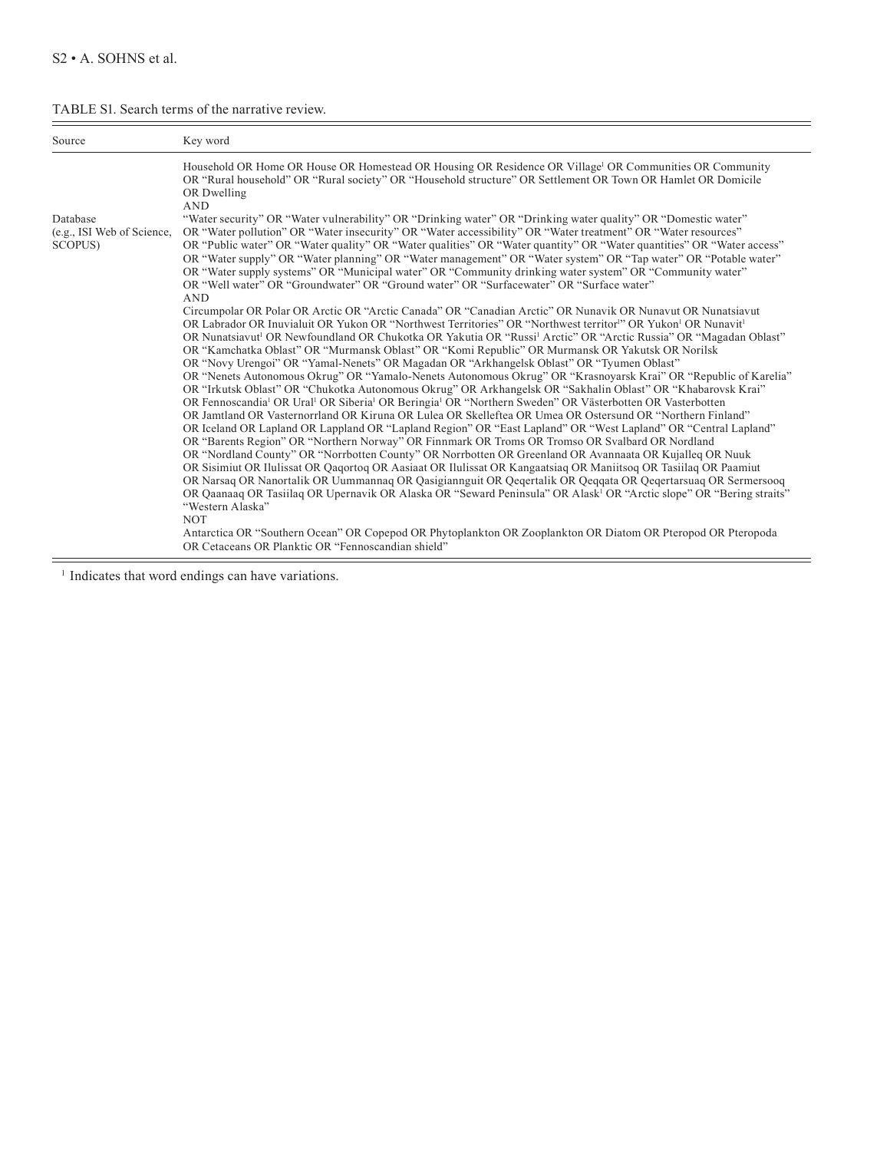## TABLE S1. Search terms of the narrative review.

| Source                                                                                                                                                                                                                                                           | Key word                                                                                                                                                                                                                                                                                                                                                                                                                                                                                                                                                                                                                                                                                                                                                                                                                                                                                                                                                                                                                                                                                                                                                                                                                                                                                                                                                                                                                                                                                                                                                                                                                                                                                                                                                                                                                                                       |
|------------------------------------------------------------------------------------------------------------------------------------------------------------------------------------------------------------------------------------------------------------------|----------------------------------------------------------------------------------------------------------------------------------------------------------------------------------------------------------------------------------------------------------------------------------------------------------------------------------------------------------------------------------------------------------------------------------------------------------------------------------------------------------------------------------------------------------------------------------------------------------------------------------------------------------------------------------------------------------------------------------------------------------------------------------------------------------------------------------------------------------------------------------------------------------------------------------------------------------------------------------------------------------------------------------------------------------------------------------------------------------------------------------------------------------------------------------------------------------------------------------------------------------------------------------------------------------------------------------------------------------------------------------------------------------------------------------------------------------------------------------------------------------------------------------------------------------------------------------------------------------------------------------------------------------------------------------------------------------------------------------------------------------------------------------------------------------------------------------------------------------------|
| Household OR Home OR House OR Homestead OR Housing OR Residence OR Village <sup>1</sup> OR Communities OR Community<br>OR "Rural household" OR "Rural society" OR "Household structure" OR Settlement OR Town OR Hamlet OR Domicile<br>OR Dwelling<br><b>AND</b> |                                                                                                                                                                                                                                                                                                                                                                                                                                                                                                                                                                                                                                                                                                                                                                                                                                                                                                                                                                                                                                                                                                                                                                                                                                                                                                                                                                                                                                                                                                                                                                                                                                                                                                                                                                                                                                                                |
| Database<br>(e.g., ISI Web of Science,<br>SCOPUS)                                                                                                                                                                                                                | "Water security" OR "Water vulnerability" OR "Drinking water" OR "Drinking water quality" OR "Domestic water"<br>OR "Water pollution" OR "Water insecurity" OR "Water accessibility" OR "Water treatment" OR "Water resources"<br>OR "Public water" OR "Water quality" OR "Water qualities" OR "Water quantity" OR "Water quantities" OR "Water access"<br>OR "Water supply" OR "Water planning" OR "Water management" OR "Water system" OR "Tap water" OR "Potable water"<br>OR "Water supply systems" OR "Municipal water" OR "Community drinking water system" OR "Community water"<br>OR "Well water" OR "Groundwater" OR "Ground water" OR "Surfacewater" OR "Surface water"                                                                                                                                                                                                                                                                                                                                                                                                                                                                                                                                                                                                                                                                                                                                                                                                                                                                                                                                                                                                                                                                                                                                                                              |
|                                                                                                                                                                                                                                                                  | <b>AND</b><br>Circumpolar OR Polar OR Arctic OR "Arctic Canada" OR "Canadian Arctic" OR Nunavik OR Nunavut OR Nunatsiavut<br>OR Labrador OR Inuvialuit OR Yukon OR "Northwest Territories" OR "Northwest territor" OR Yukon <sup>1</sup> OR Nunavit <sup>1</sup><br>OR Nunatsiavut <sup>1</sup> OR Newfoundland OR Chukotka OR Yakutia OR "Russi <sup>1</sup> Arctic" OR "Arctic Russia" OR "Magadan Oblast"<br>OR "Kamchatka Oblast" OR "Murmansk Oblast" OR "Komi Republic" OR Murmansk OR Yakutsk OR Norilsk<br>OR "Novy Urengoi" OR "Yamal-Nenets" OR Magadan OR "Arkhangelsk Oblast" OR "Tyumen Oblast"<br>OR "Nenets Autonomous Okrug" OR "Yamalo-Nenets Autonomous Okrug" OR "Krasnoyarsk Krai" OR "Republic of Karelia"<br>OR "Irkutsk Oblast" OR "Chukotka Autonomous Okrug" OR Arkhangelsk OR "Sakhalin Oblast" OR "Khabarovsk Krai"<br>OR Fennoscandia <sup>1</sup> OR Ural <sup>1</sup> OR Siberia <sup>1</sup> OR Beringia <sup>1</sup> OR "Northern Sweden" OR Västerbotten OR Vasterbotten<br>OR Jamtland OR Vasternorrland OR Kiruna OR Lulea OR Skelleftea OR Umea OR Ostersund OR "Northern Finland"<br>OR Iceland OR Lapland OR Lappland OR "Lapland Region" OR "East Lapland" OR "West Lapland" OR "Central Lapland"<br>OR "Barents Region" OR "Northern Norway" OR Finnmark OR Troms OR Tromso OR Svalbard OR Nordland<br>OR "Nordland County" OR "Norrbotten County" OR Norrbotten OR Greenland OR Avannaata OR Kujalleg OR Nuuk<br>OR Sisimiut OR Ilulissat OR Qaqortoq OR Aasiaat OR Ilulissat OR Kangaatsiaq OR Maniitsoq OR Tasiilaq OR Paamiut<br>OR Narsaq OR Nanortalik OR Uummannaq OR Qasigiannguit OR Qeqertalik OR Qeqqata OR Qeqertarsuaq OR Sermersooq<br>OR Qaanaaq OR Tasiilaq OR Upernavik OR Alaska OR "Seward Peninsula" OR Alask <sup>1</sup> OR "Arctic slope" OR "Bering straits"<br>"Western Alaska"<br><b>NOT</b> |
|                                                                                                                                                                                                                                                                  | Antarctica OR "Southern Ocean" OR Copepod OR Phytoplankton OR Zooplankton OR Diatom OR Pteropod OR Pteropoda<br>OR Cetaceans OR Planktic OR "Fennoscandian shield"                                                                                                                                                                                                                                                                                                                                                                                                                                                                                                                                                                                                                                                                                                                                                                                                                                                                                                                                                                                                                                                                                                                                                                                                                                                                                                                                                                                                                                                                                                                                                                                                                                                                                             |

<sup>1</sup> Indicates that word endings can have variations.